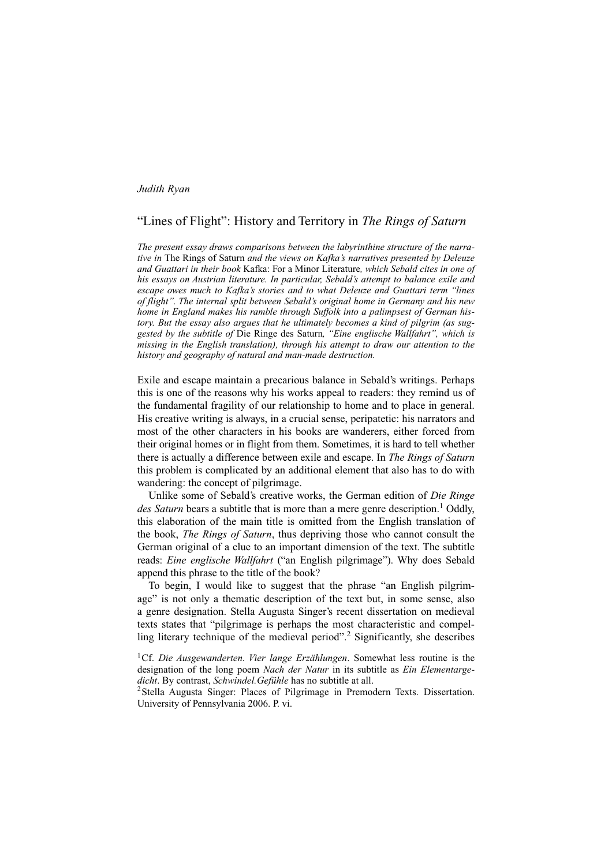## *Judith Ryan*

## "Lines of Flight": History and Territory in *The Rings of Saturn*

*The present essay draws comparisons between the labyrinthine structure of the narrative in* The Rings of Saturn *and the views on Kafka's narratives presented by Deleuze and Guattari in their book* Kafka: For a Minor Literature*, which Sebald cites in one of his essays on Austrian literature. In particular, Sebald's attempt to balance exile and escape owes much to Kafka's stories and to what Deleuze and Guattari term "lines of flight". The internal split between Sebald's original home in Germany and his new home in England makes his ramble through Suffolk into a palimpsest of German history. But the essay also argues that he ultimately becomes a kind of pilgrim (as suggested by the subtitle of* Die Ringe des Saturn*, "Eine englische Wallfahrt", which is missing in the English translation), through his attempt to draw our attention to the history and geography of natural and man-made destruction.*

Exile and escape maintain a precarious balance in Sebald's writings. Perhaps this is one of the reasons why his works appeal to readers: they remind us of the fundamental fragility of our relationship to home and to place in general. His creative writing is always, in a crucial sense, peripatetic: his narrators and most of the other characters in his books are wanderers, either forced from their original homes or in flight from them. Sometimes, it is hard to tell whether there is actually a difference between exile and escape. In *The Rings of Saturn* this problem is complicated by an additional element that also has to do with wandering: the concept of pilgrimage.

Unlike some of Sebald's creative works, the German edition of *Die Ringe*  des Saturn bears a subtitle that is more than a mere genre description.<sup>1</sup> Oddly, this elaboration of the main title is omitted from the English translation of the book, *The Rings of Saturn*, thus depriving those who cannot consult the German original of a clue to an important dimension of the text. The subtitle reads: *Eine englische Wallfahrt* ("an English pilgrimage"). Why does Sebald append this phrase to the title of the book?

To begin, I would like to suggest that the phrase "an English pilgrimage" is not only a thematic description of the text but, in some sense, also a genre designation. Stella Augusta Singer's recent dissertation on medieval texts states that "pilgrimage is perhaps the most characteristic and compelling literary technique of the medieval period".<sup>2</sup> Significantly, she describes

2 Stella Augusta Singer: Places of Pilgrimage in Premodern Texts. Dissertation. University of Pennsylvania 2006. P. vi.

<sup>1</sup> Cf. *Die Ausgewanderten. Vier lange Erzählungen*. Somewhat less routine is the designation of the long poem *Nach der Natur* in its subtitle as *Ein Elementargedicht*. By contrast, *Schwindel.Gefühle* has no subtitle at all.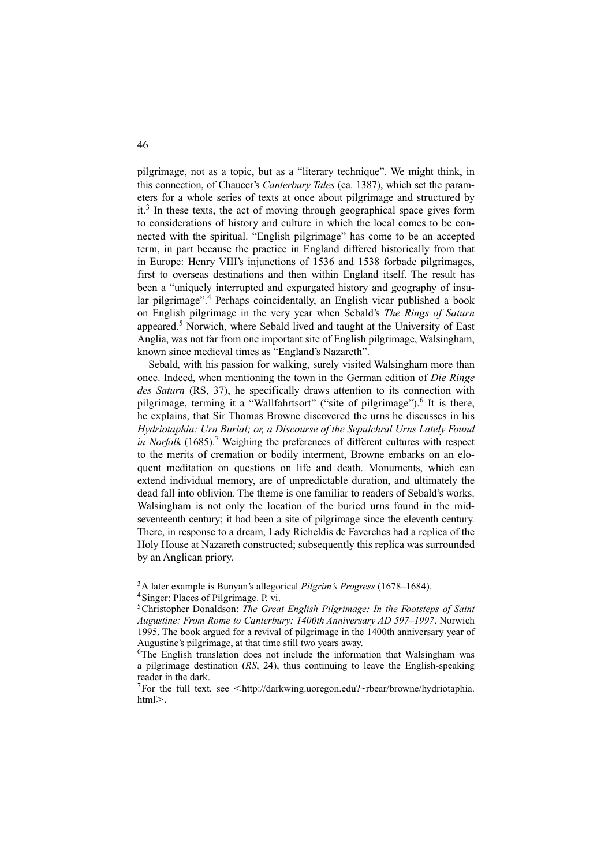pilgrimage, not as a topic, but as a "literary technique". We might think, in this connection, of Chaucer's *Canterbury Tales* (ca. 1387), which set the parameters for a whole series of texts at once about pilgrimage and structured by it.<sup>3</sup> In these texts, the act of moving through geographical space gives form to considerations of history and culture in which the local comes to be connected with the spiritual. "English pilgrimage" has come to be an accepted term, in part because the practice in England differed historically from that in Europe: Henry VIII's injunctions of 1536 and 1538 forbade pilgrimages, first to overseas destinations and then within England itself. The result has been a "uniquely interrupted and expurgated history and geography of insular pilgrimage".4 Perhaps coincidentally, an English vicar published a book on English pilgrimage in the very year when Sebald's *The Rings of Saturn* appeared.<sup>5</sup> Norwich, where Sebald lived and taught at the University of East Anglia, was not far from one important site of English pilgrimage, Walsingham, known since medieval times as "England's Nazareth".

Sebald, with his passion for walking, surely visited Walsingham more than once. Indeed, when mentioning the town in the German edition of *Die Ringe des Saturn* (RS, 37), he specifically draws attention to its connection with pilgrimage, terming it a "Wallfahrtsort" ("site of pilgrimage").<sup>6</sup> It is there, he explains, that Sir Thomas Browne discovered the urns he discusses in his *Hydriotaphia: Urn Burial; or, a Discourse of the Sepulchral Urns Lately Found*  in Norfolk (1685).<sup>7</sup> Weighing the preferences of different cultures with respect to the merits of cremation or bodily interment, Browne embarks on an eloquent meditation on questions on life and death. Monuments, which can extend individual memory, are of unpredictable duration, and ultimately the dead fall into oblivion. The theme is one familiar to readers of Sebald's works. Walsingham is not only the location of the buried urns found in the midseventeenth century; it had been a site of pilgrimage since the eleventh century. There, in response to a dream, Lady Richeldis de Faverches had a replica of the Holy House at Nazareth constructed; subsequently this replica was surrounded by an Anglican priory.

3 A later example is Bunyan's allegorical *Pilgrim's Progress* (1678–1684).

4 Singer: Places of Pilgrimage. P. vi.

5 Christopher Donaldson: *The Great English Pilgrimage: In the Footsteps of Saint Augustine: From Rome to Canterbury: 1400th Anniversary AD 597–1997*. Norwich 1995. The book argued for a revival of pilgrimage in the 1400th anniversary year of Augustine's pilgrimage, at that time still two years away.

<sup>6</sup>The English translation does not include the information that Walsingham was a pilgrimage destination (*RS*, 24), thus continuing to leave the English-speaking reader in the dark.

<sup>7</sup> For the full text, see  $\lt$ http://darkwing.uoregon.edu?~rbear/browne/hydriotaphia.  $html$ .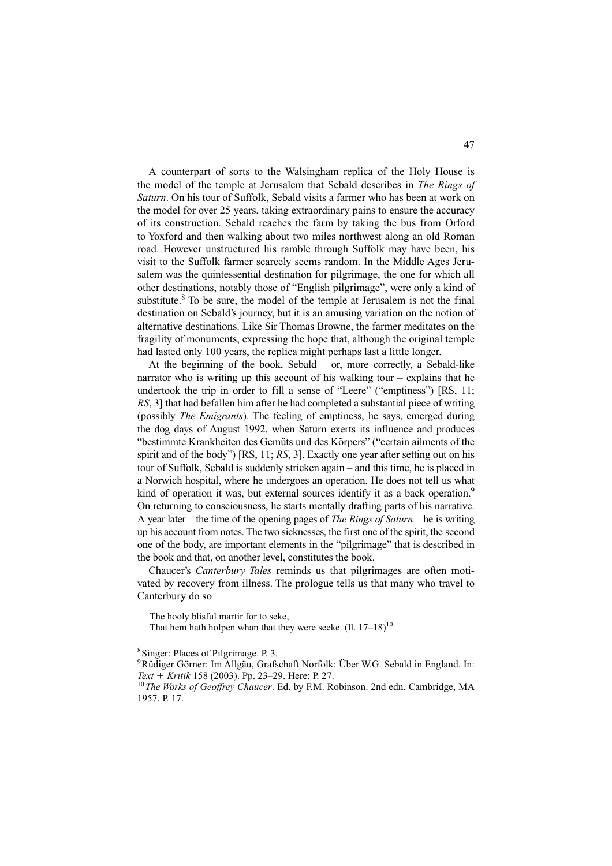A counterpart of sorts to the Walsingham replica of the Holy House is the model of the temple at Jerusalem that Sebald describes in *The Rings of Saturn*. On his tour of Suffolk, Sebald visits a farmer who has been at work on the model for over 25 years, taking extraordinary pains to ensure the accuracy of its construction. Sebald reaches the farm by taking the bus from Orford to Yoxford and then walking about two miles northwest along an old Roman road. However unstructured his ramble through Suffolk may have been, his visit to the Suffolk farmer scarcely seems random. In the Middle Ages Jerusalem was the quintessential destination for pilgrimage, the one for which all other destinations, notably those of "English pilgrimage", were only a kind of substitute. $8$  To be sure, the model of the temple at Jerusalem is not the final destination on Sebald's journey, but it is an amusing variation on the notion of alternative destinations. Like Sir Thomas Browne, the farmer meditates on the fragility of monuments, expressing the hope that, although the original temple had lasted only 100 years, the replica might perhaps last a little longer.

At the beginning of the book, Sebald – or, more correctly, a Sebald-like narrator who is writing up this account of his walking tour – explains that he undertook the trip in order to fill a sense of "Leere" ("emptiness") [RS, 11; *RS*, 3] that had befallen him after he had completed a substantial piece of writing (possibly *The Emigrants*). The feeling of emptiness, he says, emerged during the dog days of August 1992, when Saturn exerts its influence and produces "bestimmte Krankheiten des Gemüts und des Körpers" ("certain ailments of the spirit and of the body") [RS, 11; *RS*, 3]. Exactly one year after setting out on his tour of Suffolk, Sebald is suddenly stricken again – and this time, he is placed in a Norwich hospital, where he undergoes an operation. He does not tell us what kind of operation it was, but external sources identify it as a back operation.<sup>9</sup> On returning to consciousness, he starts mentally drafting parts of his narrative. A year later – the time of the opening pages of *The Rings of Saturn* – he is writing up his account from notes. The two sicknesses, the first one of the spirit, the second one of the body, are important elements in the "pilgrimage" that is described in the book and that, on another level, constitutes the book.

Chaucer's *Canterbury Tales* reminds us that pilgrimages are often motivated by recovery from illness. The prologue tells us that many who travel to Canterbury do so

The hooly blisful martir for to seke,

That hem hath holpen whan that they were seeke.  $(11. 17-18)^{10}$ 

8 Singer: Places of Pilgrimage. P. 3.

9 Rüdiger Görner: Im Allgäu, Grafschaft Norfolk: Über W.G. Sebald in England. In: *Text Kritik* 158 (2003). Pp. 23–29. Here: P. 27.

<sup>10</sup>*The Works of Geoffrey Chaucer*. Ed. by F.M. Robinson. 2nd edn. Cambridge, MA 1957. P. 17.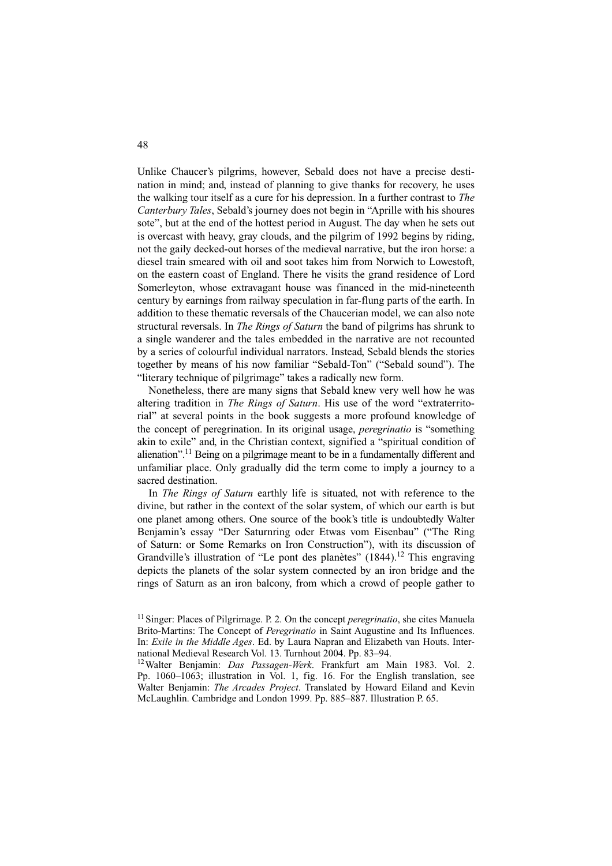Unlike Chaucer's pilgrims, however, Sebald does not have a precise destination in mind; and, instead of planning to give thanks for recovery, he uses the walking tour itself as a cure for his depression. In a further contrast to *The Canterbury Tales*, Sebald's journey does not begin in "Aprille with his shoures sote", but at the end of the hottest period in August. The day when he sets out is overcast with heavy, gray clouds, and the pilgrim of 1992 begins by riding, not the gaily decked-out horses of the medieval narrative, but the iron horse: a diesel train smeared with oil and soot takes him from Norwich to Lowestoft, on the eastern coast of England. There he visits the grand residence of Lord Somerleyton, whose extravagant house was financed in the mid-nineteenth century by earnings from railway speculation in far-flung parts of the earth. In addition to these thematic reversals of the Chaucerian model, we can also note structural reversals. In *The Rings of Saturn* the band of pilgrims has shrunk to a single wanderer and the tales embedded in the narrative are not recounted by a series of colourful individual narrators. Instead, Sebald blends the stories together by means of his now familiar "Sebald-Ton" ("Sebald sound"). The "literary technique of pilgrimage" takes a radically new form.

Nonetheless, there are many signs that Sebald knew very well how he was altering tradition in *The Rings of Saturn*. His use of the word "extraterritorial" at several points in the book suggests a more profound knowledge of the concept of peregrination. In its original usage, *peregrinatio* is "something akin to exile" and, in the Christian context, signified a "spiritual condition of alienation".11 Being on a pilgrimage meant to be in a fundamentally different and unfamiliar place. Only gradually did the term come to imply a journey to a sacred destination.

In *The Rings of Saturn* earthly life is situated, not with reference to the divine, but rather in the context of the solar system, of which our earth is but one planet among others. One source of the book's title is undoubtedly Walter Benjamin's essay "Der Saturnring oder Etwas vom Eisenbau" ("The Ring of Saturn: or Some Remarks on Iron Construction"), with its discussion of Grandville's illustration of "Le pont des planètes"  $(1844)$ .<sup>12</sup> This engraving depicts the planets of the solar system connected by an iron bridge and the rings of Saturn as an iron balcony, from which a crowd of people gather to

<sup>11</sup> Singer: Places of Pilgrimage. P. 2. On the concept *peregrinatio*, she cites Manuela Brito-Martins: The Concept of *Peregrinatio* in Saint Augustine and Its Influences. In: *Exile in the Middle Ages*. Ed. by Laura Napran and Elizabeth van Houts. International Medieval Research Vol. 13. Turnhout 2004. Pp. 83–94.

<sup>12</sup> Walter Benjamin: *Das Passagen-Werk*. Frankfurt am Main 1983. Vol. 2. Pp. 1060–1063; illustration in Vol. 1, fig. 16. For the English translation, see Walter Benjamin: *The Arcades Project*. Translated by Howard Eiland and Kevin McLaughlin. Cambridge and London 1999. Pp. 885–887. Illustration P. 65.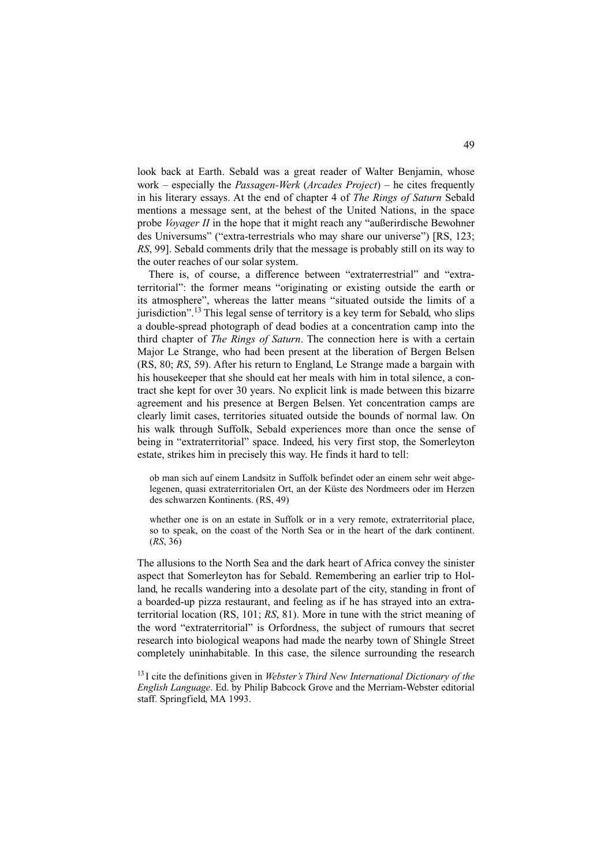look back at Earth. Sebald was a great reader of Walter Benjamin, whose work – especially the *Passagen-Werk* (*Arcades Project*) – he cites frequently in his literary essays. At the end of chapter 4 of *The Rings of Saturn* Sebald mentions a message sent, at the behest of the United Nations, in the space probe *Voyager II* in the hope that it might reach any "außerirdische Bewohner des Universums" ("extra-terrestrials who may share our universe") [RS, 123; *RS*, 99]. Sebald comments drily that the message is probably still on its way to the outer reaches of our solar system.

There is, of course, a difference between "extraterrestrial" and "extraterritorial": the former means "originating or existing outside the earth or its atmosphere", whereas the latter means "situated outside the limits of a jurisdiction".<sup>13</sup> This legal sense of territory is a key term for Sebald, who slips a double-spread photograph of dead bodies at a concentration camp into the third chapter of *The Rings of Saturn*. The connection here is with a certain Major Le Strange, who had been present at the liberation of Bergen Belsen (RS, 80; *RS*, 59). After his return to England, Le Strange made a bargain with his housekeeper that she should eat her meals with him in total silence, a contract she kept for over 30 years. No explicit link is made between this bizarre agreement and his presence at Bergen Belsen. Yet concentration camps are clearly limit cases, territories situated outside the bounds of normal law. On his walk through Suffolk, Sebald experiences more than once the sense of being in "extraterritorial" space. Indeed, his very first stop, the Somerleyton estate, strikes him in precisely this way. He finds it hard to tell:

ob man sich auf einem Landsitz in Suffolk befindet oder an einem sehr weit abgelegenen, quasi extraterritorialen Ort, an der Küste des Nordmeers oder im Herzen des schwarzen Kontinents. (RS, 49)

whether one is on an estate in Suffolk or in a very remote, extraterritorial place, so to speak, on the coast of the North Sea or in the heart of the dark continent. (*RS*, 36)

The allusions to the North Sea and the dark heart of Africa convey the sinister aspect that Somerleyton has for Sebald. Remembering an earlier trip to Holland, he recalls wandering into a desolate part of the city, standing in front of a boarded-up pizza restaurant, and feeling as if he has strayed into an extraterritorial location (RS, 101; *RS*, 81). More in tune with the strict meaning of the word "extraterritorial" is Orfordness, the subject of rumours that secret research into biological weapons had made the nearby town of Shingle Street completely uninhabitable. In this case, the silence surrounding the research

13 I cite the definitions given in *Webster's Third New International Dictionary of the English Language*. Ed. by Philip Babcock Grove and the Merriam-Webster editorial staff. Springfield, MA 1993.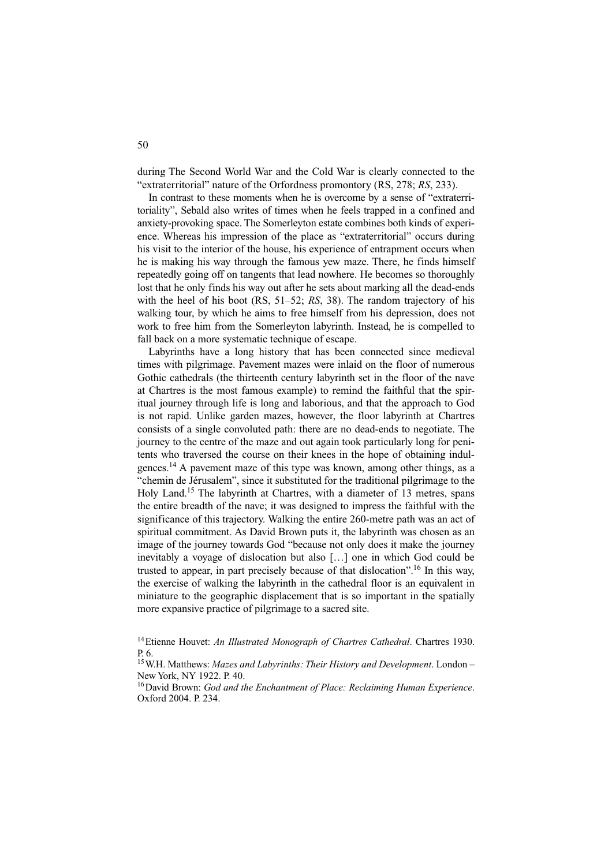during The Second World War and the Cold War is clearly connected to the "extraterritorial" nature of the Orfordness promontory (RS, 278; *RS*, 233).

In contrast to these moments when he is overcome by a sense of "extraterritoriality", Sebald also writes of times when he feels trapped in a confined and anxiety-provoking space. The Somerleyton estate combines both kinds of experience. Whereas his impression of the place as "extraterritorial" occurs during his visit to the interior of the house, his experience of entrapment occurs when he is making his way through the famous yew maze. There, he finds himself repeatedly going off on tangents that lead nowhere. He becomes so thoroughly lost that he only finds his way out after he sets about marking all the dead-ends with the heel of his boot (RS, 51–52; *RS*, 38). The random trajectory of his walking tour, by which he aims to free himself from his depression, does not work to free him from the Somerleyton labyrinth. Instead, he is compelled to fall back on a more systematic technique of escape.

Labyrinths have a long history that has been connected since medieval times with pilgrimage. Pavement mazes were inlaid on the floor of numerous Gothic cathedrals (the thirteenth century labyrinth set in the floor of the nave at Chartres is the most famous example) to remind the faithful that the spiritual journey through life is long and laborious, and that the approach to God is not rapid. Unlike garden mazes, however, the floor labyrinth at Chartres consists of a single convoluted path: there are no dead-ends to negotiate. The journey to the centre of the maze and out again took particularly long for penitents who traversed the course on their knees in the hope of obtaining indulgences.14 A pavement maze of this type was known, among other things, as a "chemin de Jérusalem", since it substituted for the traditional pilgrimage to the Holy Land.<sup>15</sup> The labyrinth at Chartres, with a diameter of 13 metres, spans the entire breadth of the nave; it was designed to impress the faithful with the significance of this trajectory. Walking the entire 260-metre path was an act of spiritual commitment. As David Brown puts it, the labyrinth was chosen as an image of the journey towards God "because not only does it make the journey inevitably a voyage of dislocation but also […] one in which God could be trusted to appear, in part precisely because of that dislocation".<sup>16</sup> In this way, the exercise of walking the labyrinth in the cathedral floor is an equivalent in miniature to the geographic displacement that is so important in the spatially more expansive practice of pilgrimage to a sacred site.

<sup>14</sup> Etienne Houvet: *An Illustrated Monograph of Chartres Cathedral*. Chartres 1930. P. 6.

<sup>15</sup> W.H. Matthews: *Mazes and Labyrinths: Their History and Development*. London – New York, NY 1922. P. 40.

<sup>16</sup> David Brown: *God and the Enchantment of Place: Reclaiming Human Experience*. Oxford 2004. P. 234.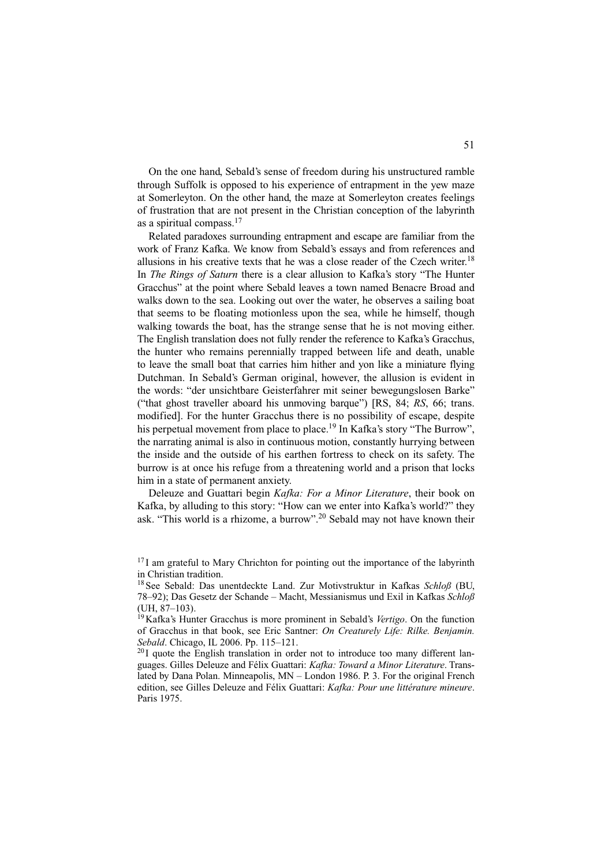On the one hand, Sebald's sense of freedom during his unstructured ramble through Suffolk is opposed to his experience of entrapment in the yew maze at Somerleyton. On the other hand, the maze at Somerleyton creates feelings of frustration that are not present in the Christian conception of the labyrinth as a spiritual compass.<sup>17</sup>

Related paradoxes surrounding entrapment and escape are familiar from the work of Franz Kafka. We know from Sebald's essays and from references and allusions in his creative texts that he was a close reader of the Czech writer.<sup>18</sup> In *The Rings of Saturn* there is a clear allusion to Kafka's story "The Hunter Gracchus" at the point where Sebald leaves a town named Benacre Broad and walks down to the sea. Looking out over the water, he observes a sailing boat that seems to be floating motionless upon the sea, while he himself, though walking towards the boat, has the strange sense that he is not moving either. The English translation does not fully render the reference to Kafka's Gracchus, the hunter who remains perennially trapped between life and death, unable to leave the small boat that carries him hither and yon like a miniature flying Dutchman. In Sebald's German original, however, the allusion is evident in the words: "der unsichtbare Geisterfahrer mit seiner bewegungslosen Barke" ("that ghost traveller aboard his unmoving barque") [RS, 84; *RS*, 66; trans. modified]. For the hunter Gracchus there is no possibility of escape, despite his perpetual movement from place to place.<sup>19</sup> In Kafka's story "The Burrow", the narrating animal is also in continuous motion, constantly hurrying between the inside and the outside of his earthen fortress to check on its safety. The burrow is at once his refuge from a threatening world and a prison that locks him in a state of permanent anxiety.

Deleuze and Guattari begin *Kafka: For a Minor Literature*, their book on Kafka, by alluding to this story: "How can we enter into Kafka's world?" they ask. "This world is a rhizome, a burrow".<sup>20</sup> Sebald may not have known their

 $17$  I am grateful to Mary Chrichton for pointing out the importance of the labyrinth in Christian tradition.

<sup>18</sup> See Sebald: Das unentdeckte Land. Zur Motivstruktur in Kafkas *Schloß* (BU, 78–92); Das Gesetz der Schande – Macht, Messianismus und Exil in Kafkas *Schloß* (UH, 87–103).

<sup>19</sup> Kafka's Hunter Gracchus is more prominent in Sebald's *Vertigo*. On the function of Gracchus in that book, see Eric Santner: *On Creaturely Life: Rilke. Benjamin. Sebald*. Chicago, IL 2006. Pp. 115–121.

<sup>&</sup>lt;sup>20</sup>I quote the English translation in order not to introduce too many different languages. Gilles Deleuze and Félix Guattari: *Kafka: Toward a Minor Literature*. Translated by Dana Polan. Minneapolis, MN – London 1986. P. 3. For the original French edition, see Gilles Deleuze and Félix Guattari: *Kafka: Pour une littérature mineure*. Paris 1975.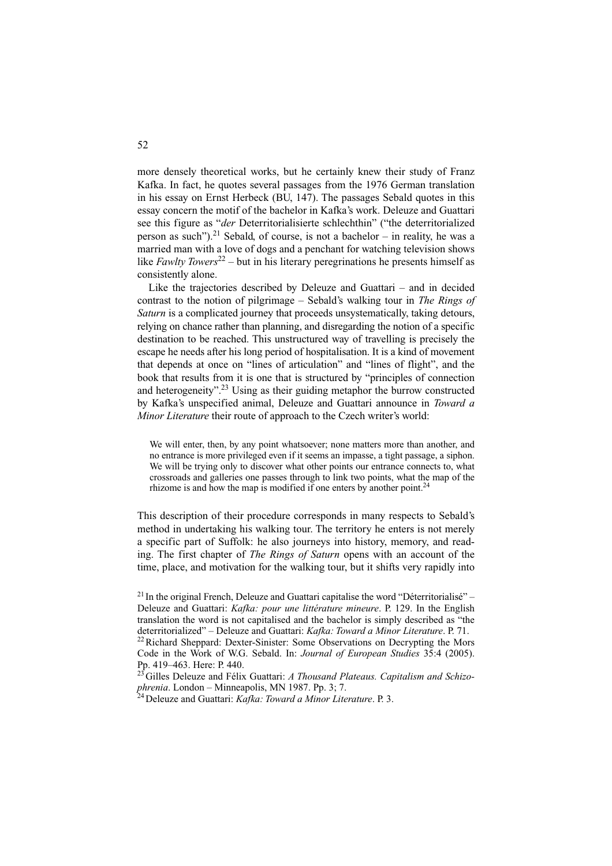more densely theoretical works, but he certainly knew their study of Franz Kafka. In fact, he quotes several passages from the 1976 German translation in his essay on Ernst Herbeck (BU, 147). The passages Sebald quotes in this essay concern the motif of the bachelor in Kafka's work. Deleuze and Guattari see this figure as "*der* Deterritorialisierte schlechthin" ("the deterritorialized person as such").<sup>21</sup> Sebald, of course, is not a bachelor – in reality, he was a married man with a love of dogs and a penchant for watching television shows like *Fawlty Towers*<sup>22</sup> – but in his literary peregrinations he presents himself as consistently alone.

Like the trajectories described by Deleuze and Guattari – and in decided contrast to the notion of pilgrimage – Sebald's walking tour in *The Rings of Saturn* is a complicated journey that proceeds unsystematically, taking detours, relying on chance rather than planning, and disregarding the notion of a specific destination to be reached. This unstructured way of travelling is precisely the escape he needs after his long period of hospitalisation. It is a kind of movement that depends at once on "lines of articulation" and "lines of flight", and the book that results from it is one that is structured by "principles of connection and heterogeneity".23 Using as their guiding metaphor the burrow constructed by Kafka's unspecified animal, Deleuze and Guattari announce in *Toward a Minor Literature* their route of approach to the Czech writer's world:

We will enter, then, by any point whatsoever; none matters more than another, and no entrance is more privileged even if it seems an impasse, a tight passage, a siphon. We will be trying only to discover what other points our entrance connects to, what crossroads and galleries one passes through to link two points, what the map of the rhizome is and how the map is modified if one enters by another point.<sup>24</sup>

This description of their procedure corresponds in many respects to Sebald's method in undertaking his walking tour. The territory he enters is not merely a specific part of Suffolk: he also journeys into history, memory, and reading. The first chapter of *The Rings of Saturn* opens with an account of the time, place, and motivation for the walking tour, but it shifts very rapidly into

 $21$  In the original French, Deleuze and Guattari capitalise the word "Déterritorialisé" – Deleuze and Guattari: *Kafka: pour une littérature mineure*. P. 129. In the English translation the word is not capitalised and the bachelor is simply described as "the deterritorialized" – Deleuze and Guattari: *Kafka: Toward a Minor Literature*. P. 71. <sup>22</sup> Richard Sheppard: Dexter-Sinister: Some Observations on Decrypting the Mors Code in the Work of W.G. Sebald. In: *Journal of European Studies* 35:4 (2005). Pp. 419–463. Here: P. 440.

<sup>23</sup> Gilles Deleuze and Félix Guattari: *A Thousand Plateaus. Capitalism and Schizophrenia*. London – Minneapolis, MN 1987. Pp. 3; 7.

<sup>24</sup> Deleuze and Guattari: *Kafka: Toward a Minor Literature*. P. 3.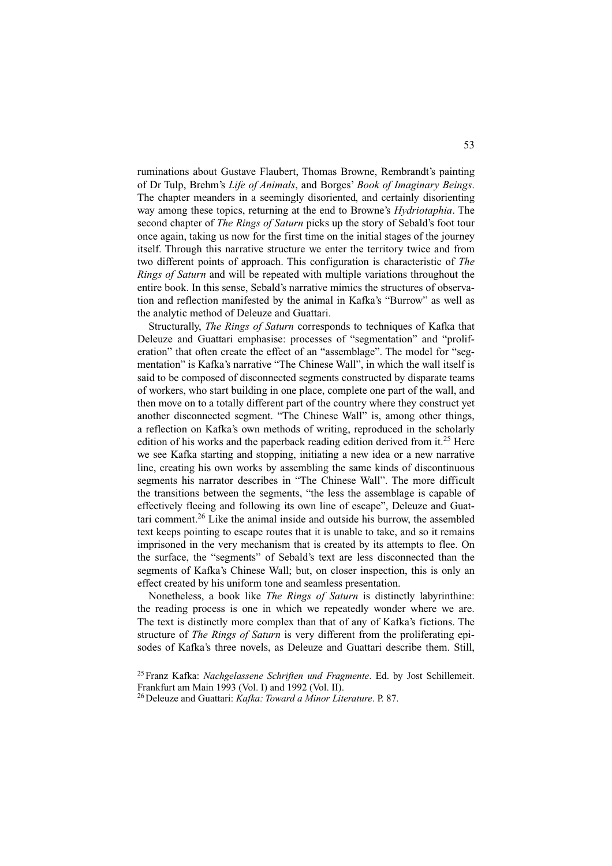ruminations about Gustave Flaubert, Thomas Browne, Rembrandt's painting of Dr Tulp, Brehm's *Life of Animals*, and Borges' *Book of Imaginary Beings*. The chapter meanders in a seemingly disoriented, and certainly disorienting way among these topics, returning at the end to Browne's *Hydriotaphia*. The second chapter of *The Rings of Saturn* picks up the story of Sebald's foot tour once again, taking us now for the first time on the initial stages of the journey itself. Through this narrative structure we enter the territory twice and from two different points of approach. This configuration is characteristic of *The Rings of Saturn* and will be repeated with multiple variations throughout the entire book. In this sense, Sebald's narrative mimics the structures of observation and reflection manifested by the animal in Kafka's "Burrow" as well as the analytic method of Deleuze and Guattari.

Structurally, *The Rings of Saturn* corresponds to techniques of Kafka that Deleuze and Guattari emphasise: processes of "segmentation" and "proliferation" that often create the effect of an "assemblage". The model for "segmentation" is Kafka's narrative "The Chinese Wall", in which the wall itself is said to be composed of disconnected segments constructed by disparate teams of workers, who start building in one place, complete one part of the wall, and then move on to a totally different part of the country where they construct yet another disconnected segment. "The Chinese Wall" is, among other things, a reflection on Kafka's own methods of writing, reproduced in the scholarly edition of his works and the paperback reading edition derived from it.<sup>25</sup> Here we see Kafka starting and stopping, initiating a new idea or a new narrative line, creating his own works by assembling the same kinds of discontinuous segments his narrator describes in "The Chinese Wall". The more difficult the transitions between the segments, "the less the assemblage is capable of effectively fleeing and following its own line of escape", Deleuze and Guattari comment.26 Like the animal inside and outside his burrow, the assembled text keeps pointing to escape routes that it is unable to take, and so it remains imprisoned in the very mechanism that is created by its attempts to flee. On the surface, the "segments" of Sebald's text are less disconnected than the segments of Kafka's Chinese Wall; but, on closer inspection, this is only an effect created by his uniform tone and seamless presentation.

Nonetheless, a book like *The Rings of Saturn* is distinctly labyrinthine: the reading process is one in which we repeatedly wonder where we are. The text is distinctly more complex than that of any of Kafka's fictions. The structure of *The Rings of Saturn* is very different from the proliferating episodes of Kafka's three novels, as Deleuze and Guattari describe them. Still,

<sup>25</sup> Franz Kafka: *Nachgelassene Schriften und Fragmente*. Ed. by Jost Schillemeit. Frankfurt am Main 1993 (Vol. I) and 1992 (Vol. II).

<sup>26</sup> Deleuze and Guattari: *Kafka: Toward a Minor Literature*. P. 87.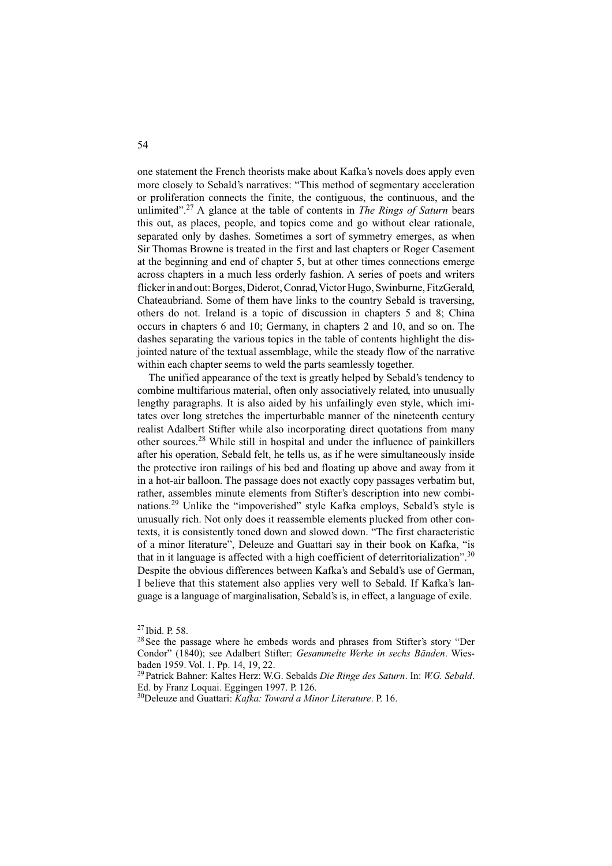one statement the French theorists make about Kafka's novels does apply even more closely to Sebald's narratives: "This method of segmentary acceleration or proliferation connects the finite, the contiguous, the continuous, and the unlimited".27 A glance at the table of contents in *The Rings of Saturn* bears this out, as places, people, and topics come and go without clear rationale, separated only by dashes. Sometimes a sort of symmetry emerges, as when Sir Thomas Browne is treated in the first and last chapters or Roger Casement at the beginning and end of chapter 5, but at other times connections emerge across chapters in a much less orderly fashion. A series of poets and writers flicker in and out: Borges, Diderot, Conrad, Victor Hugo, Swinburne, FitzGerald, Chateaubriand. Some of them have links to the country Sebald is traversing, others do not. Ireland is a topic of discussion in chapters 5 and 8; China occurs in chapters 6 and 10; Germany, in chapters 2 and 10, and so on. The dashes separating the various topics in the table of contents highlight the disjointed nature of the textual assemblage, while the steady flow of the narrative within each chapter seems to weld the parts seamlessly together.

The unified appearance of the text is greatly helped by Sebald's tendency to combine multifarious material, often only associatively related, into unusually lengthy paragraphs. It is also aided by his unfailingly even style, which imitates over long stretches the imperturbable manner of the nineteenth century realist Adalbert Stifter while also incorporating direct quotations from many other sources.28 While still in hospital and under the influence of painkillers after his operation, Sebald felt, he tells us, as if he were simultaneously inside the protective iron railings of his bed and floating up above and away from it in a hot-air balloon. The passage does not exactly copy passages verbatim but, rather, assembles minute elements from Stifter's description into new combinations.<sup>29</sup> Unlike the "impoverished" style Kafka employs, Sebald's style is unusually rich. Not only does it reassemble elements plucked from other contexts, it is consistently toned down and slowed down. "The first characteristic of a minor literature", Deleuze and Guattari say in their book on Kafka, "is that in it language is affected with a high coefficient of deterritorialization".30 Despite the obvious differences between Kafka's and Sebald's use of German, I believe that this statement also applies very well to Sebald. If Kafka's language is a language of marginalisation, Sebald's is, in effect, a language of exile.

<sup>27</sup> Ibid. P. 58.

<sup>&</sup>lt;sup>28</sup> See the passage where he embeds words and phrases from Stifter's story "Der Condor" (1840); see Adalbert Stifter: *Gesammelte Werke in sechs Bänden*. Wiesbaden 1959. Vol. 1. Pp. 14, 19, 22.

<sup>29</sup> Patrick Bahner: Kaltes Herz: W.G. Sebalds *Die Ringe des Saturn*. In: *W.G. Sebald*. Ed. by Franz Loquai. Eggingen 1997. P. 126.

<sup>30</sup>Deleuze and Guattari: *Kafka: Toward a Minor Literature*. P. 16.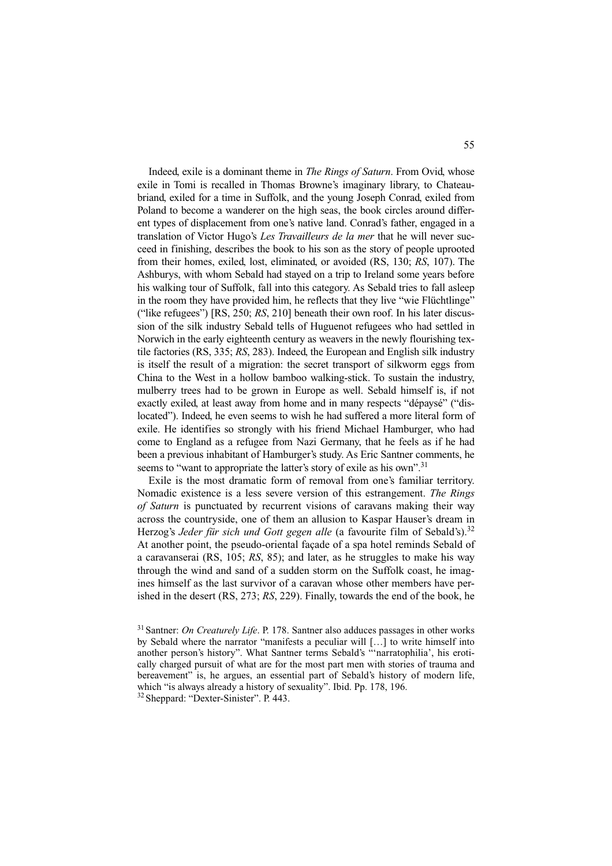Indeed, exile is a dominant theme in *The Rings of Saturn*. From Ovid, whose exile in Tomi is recalled in Thomas Browne's imaginary library, to Chateaubriand, exiled for a time in Suffolk, and the young Joseph Conrad, exiled from Poland to become a wanderer on the high seas, the book circles around different types of displacement from one's native land. Conrad's father, engaged in a translation of Victor Hugo's *Les Travailleurs de la mer* that he will never succeed in finishing, describes the book to his son as the story of people uprooted from their homes, exiled, lost, eliminated, or avoided (RS, 130; *RS*, 107). The Ashburys, with whom Sebald had stayed on a trip to Ireland some years before his walking tour of Suffolk, fall into this category. As Sebald tries to fall asleep in the room they have provided him, he reflects that they live "wie Flüchtlinge" ("like refugees") [RS, 250; *RS*, 210] beneath their own roof. In his later discussion of the silk industry Sebald tells of Huguenot refugees who had settled in Norwich in the early eighteenth century as weavers in the newly flourishing textile factories (RS, 335; *RS*, 283). Indeed, the European and English silk industry is itself the result of a migration: the secret transport of silkworm eggs from China to the West in a hollow bamboo walking-stick. To sustain the industry, mulberry trees had to be grown in Europe as well. Sebald himself is, if not exactly exiled, at least away from home and in many respects "dépaysé" ("dislocated"). Indeed, he even seems to wish he had suffered a more literal form of exile. He identifies so strongly with his friend Michael Hamburger, who had come to England as a refugee from Nazi Germany, that he feels as if he had been a previous inhabitant of Hamburger's study. As Eric Santner comments, he seems to "want to appropriate the latter's story of exile as his own".<sup>31</sup>

Exile is the most dramatic form of removal from one's familiar territory. Nomadic existence is a less severe version of this estrangement. *The Rings of Saturn* is punctuated by recurrent visions of caravans making their way across the countryside, one of them an allusion to Kaspar Hauser's dream in Herzog's *Jeder für sich und Gott gegen alle* (a favourite film of Sebald's).<sup>32</sup> At another point, the pseudo-oriental façade of a spa hotel reminds Sebald of a caravanserai (RS, 105; *RS*, 85); and later, as he struggles to make his way through the wind and sand of a sudden storm on the Suffolk coast, he imagines himself as the last survivor of a caravan whose other members have perished in the desert (RS, 273; *RS*, 229). Finally, towards the end of the book, he

<sup>31</sup> Santner: *On Creaturely Life*. P. 178. Santner also adduces passages in other works by Sebald where the narrator "manifests a peculiar will […] to write himself into another person's history". What Santner terms Sebald's "'narratophilia', his erotically charged pursuit of what are for the most part men with stories of trauma and bereavement" is, he argues, an essential part of Sebald's history of modern life, which "is always already a history of sexuality". Ibid. Pp. 178, 196. 32 Sheppard: "Dexter-Sinister". P. 443.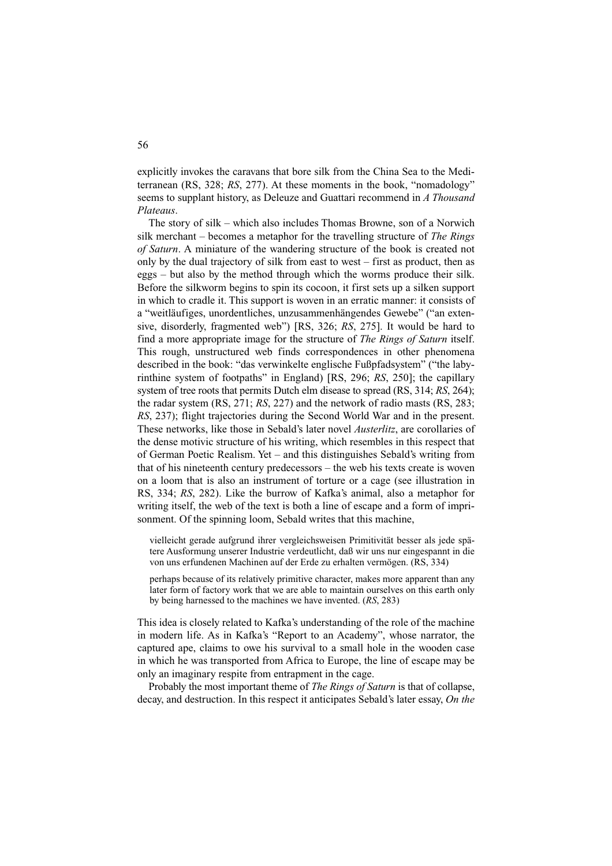explicitly invokes the caravans that bore silk from the China Sea to the Mediterranean (RS, 328; *RS*, 277). At these moments in the book, "nomadology" seems to supplant history, as Deleuze and Guattari recommend in *A Thousand Plateaus*.

The story of silk – which also includes Thomas Browne, son of a Norwich silk merchant – becomes a metaphor for the travelling structure of *The Rings of Saturn*. A miniature of the wandering structure of the book is created not only by the dual trajectory of silk from east to west – first as product, then as eggs – but also by the method through which the worms produce their silk. Before the silkworm begins to spin its cocoon, it first sets up a silken support in which to cradle it. This support is woven in an erratic manner: it consists of a "weitläufiges, unordentliches, unzusammenhängendes Gewebe" ("an extensive, disorderly, fragmented web") [RS, 326; *RS*, 275]. It would be hard to find a more appropriate image for the structure of *The Rings of Saturn* itself. This rough, unstructured web finds correspondences in other phenomena described in the book: "das verwinkelte englische Fußpfadsystem" ("the labyrinthine system of footpaths" in England) [RS, 296; *RS*, 250]; the capillary system of tree roots that permits Dutch elm disease to spread (RS, 314; *RS*, 264); the radar system (RS, 271; *RS*, 227) and the network of radio masts (RS, 283; *RS*, 237); flight trajectories during the Second World War and in the present. These networks, like those in Sebald's later novel *Austerlitz*, are corollaries of the dense motivic structure of his writing, which resembles in this respect that of German Poetic Realism. Yet – and this distinguishes Sebald's writing from that of his nineteenth century predecessors – the web his texts create is woven on a loom that is also an instrument of torture or a cage (see illustration in RS, 334; *RS*, 282). Like the burrow of Kafka's animal, also a metaphor for writing itself, the web of the text is both a line of escape and a form of imprisonment. Of the spinning loom, Sebald writes that this machine,

vielleicht gerade aufgrund ihrer vergleichsweisen Primitivität besser als jede spätere Ausformung unserer Industrie verdeutlicht, daß wir uns nur eingespannt in die von uns erfundenen Machinen auf der Erde zu erhalten vermögen. (RS, 334)

perhaps because of its relatively primitive character, makes more apparent than any later form of factory work that we are able to maintain ourselves on this earth only by being harnessed to the machines we have invented. (*RS*, 283)

This idea is closely related to Kafka's understanding of the role of the machine in modern life. As in Kafka's "Report to an Academy", whose narrator, the captured ape, claims to owe his survival to a small hole in the wooden case in which he was transported from Africa to Europe, the line of escape may be only an imaginary respite from entrapment in the cage.

Probably the most important theme of *The Rings of Saturn* is that of collapse, decay, and destruction. In this respect it anticipates Sebald's later essay, *On the*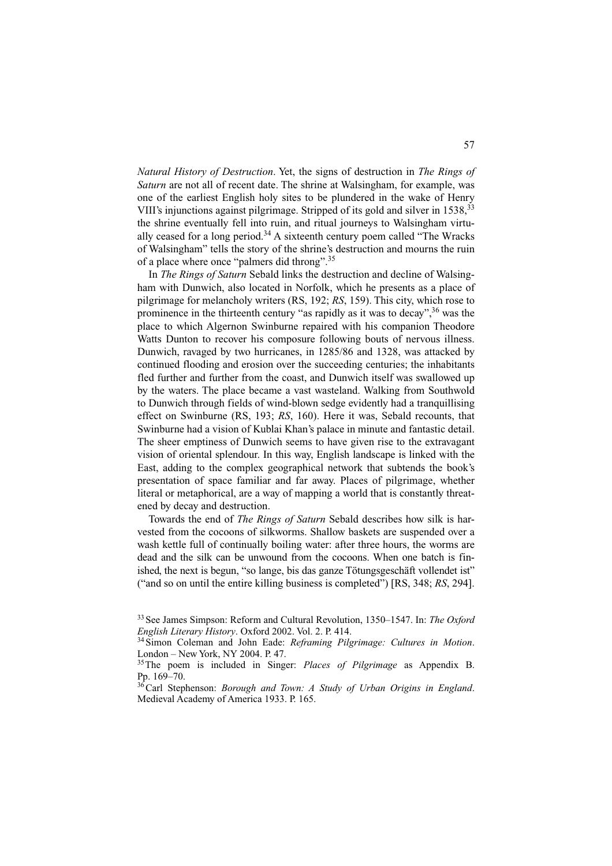*Natural History of Destruction*. Yet, the signs of destruction in *The Rings of Saturn* are not all of recent date. The shrine at Walsingham, for example, was one of the earliest English holy sites to be plundered in the wake of Henry VIII's injunctions against pilgrimage. Stripped of its gold and silver in 1538,<sup>33</sup> the shrine eventually fell into ruin, and ritual journeys to Walsingham virtually ceased for a long period.<sup>34</sup> A sixteenth century poem called "The Wracks" of Walsingham" tells the story of the shrine's destruction and mourns the ruin of a place where once "palmers did throng".35

In *The Rings of Saturn* Sebald links the destruction and decline of Walsingham with Dunwich, also located in Norfolk, which he presents as a place of pilgrimage for melancholy writers (RS, 192; *RS*, 159). This city, which rose to prominence in the thirteenth century "as rapidly as it was to decay",  $36$  was the place to which Algernon Swinburne repaired with his companion Theodore Watts Dunton to recover his composure following bouts of nervous illness. Dunwich, ravaged by two hurricanes, in 1285/86 and 1328, was attacked by continued flooding and erosion over the succeeding centuries; the inhabitants fled further and further from the coast, and Dunwich itself was swallowed up by the waters. The place became a vast wasteland. Walking from Southwold to Dunwich through fields of wind-blown sedge evidently had a tranquillising effect on Swinburne (RS, 193; *RS*, 160). Here it was, Sebald recounts, that Swinburne had a vision of Kublai Khan's palace in minute and fantastic detail. The sheer emptiness of Dunwich seems to have given rise to the extravagant vision of oriental splendour. In this way, English landscape is linked with the East, adding to the complex geographical network that subtends the book's presentation of space familiar and far away. Places of pilgrimage, whether literal or metaphorical, are a way of mapping a world that is constantly threatened by decay and destruction.

Towards the end of *The Rings of Saturn* Sebald describes how silk is harvested from the cocoons of silkworms. Shallow baskets are suspended over a wash kettle full of continually boiling water: after three hours, the worms are dead and the silk can be unwound from the cocoons. When one batch is finished, the next is begun, "so lange, bis das ganze Tötungsgeschäft vollendet ist" ("and so on until the entire killing business is completed") [RS, 348; *RS*, 294].

<sup>33</sup> See James Simpson: Reform and Cultural Revolution, 1350–1547. In: *The Oxford English Literary History*. Oxford 2002. Vol. 2. P. 414.

<sup>34</sup> Simon Coleman and John Eade: *Reframing Pilgrimage: Cultures in Motion*. London – New York, NY 2004. P. 47.

<sup>35</sup> The poem is included in Singer: *Places of Pilgrimage* as Appendix B. Pp. 169–70.

<sup>36</sup> Carl Stephenson: *Borough and Town: A Study of Urban Origins in England*. Medieval Academy of America 1933. P. 165.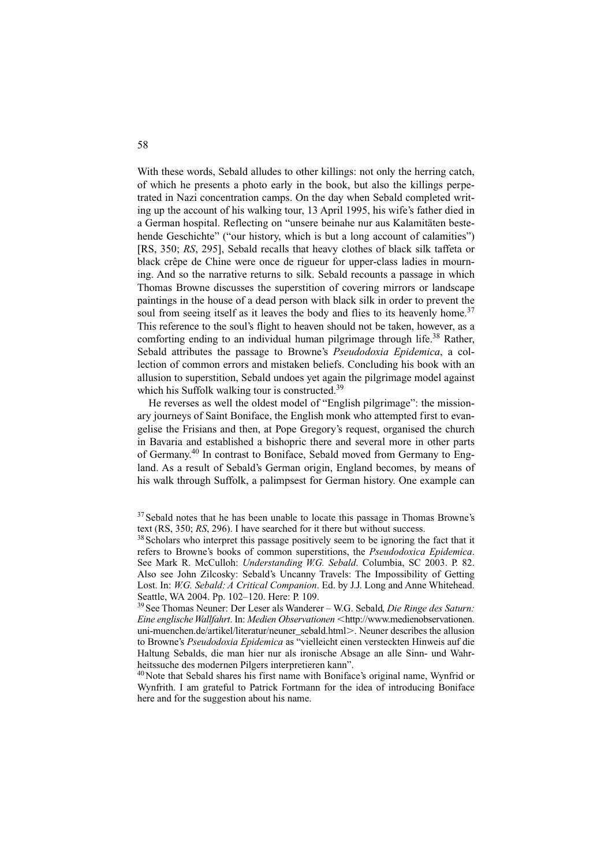With these words, Sebald alludes to other killings: not only the herring catch, of which he presents a photo early in the book, but also the killings perpetrated in Nazi concentration camps. On the day when Sebald completed writing up the account of his walking tour, 13 April 1995, his wife's father died in a German hospital. Reflecting on "unsere beinahe nur aus Kalamitäten bestehende Geschichte" ("our history, which is but a long account of calamities") [RS, 350; *RS*, 295], Sebald recalls that heavy clothes of black silk taffeta or black crêpe de Chine were once de rigueur for upper-class ladies in mourning. And so the narrative returns to silk. Sebald recounts a passage in which Thomas Browne discusses the superstition of covering mirrors or landscape paintings in the house of a dead person with black silk in order to prevent the soul from seeing itself as it leaves the body and flies to its heavenly home.<sup>37</sup> This reference to the soul's flight to heaven should not be taken, however, as a comforting ending to an individual human pilgrimage through life.<sup>38</sup> Rather, Sebald attributes the passage to Browne's *Pseudodoxia Epidemica*, a collection of common errors and mistaken beliefs. Concluding his book with an allusion to superstition, Sebald undoes yet again the pilgrimage model against which his Suffolk walking tour is constructed.<sup>39</sup>

He reverses as well the oldest model of "English pilgrimage": the missionary journeys of Saint Boniface, the English monk who attempted first to evangelise the Frisians and then, at Pope Gregory's request, organised the church in Bavaria and established a bishopric there and several more in other parts of Germany.40 In contrast to Boniface, Sebald moved from Germany to England. As a result of Sebald's German origin, England becomes, by means of his walk through Suffolk, a palimpsest for German history. One example can

 $37$  Sebald notes that he has been unable to locate this passage in Thomas Browne's text (RS, 350; *RS*, 296). I have searched for it there but without success.

<sup>&</sup>lt;sup>38</sup> Scholars who interpret this passage positively seem to be ignoring the fact that it refers to Browne's books of common superstitions, the *Pseudodoxica Epidemica*. See Mark R. McCulloh: *Understanding W.G. Sebald*. Columbia, SC 2003. P. 82. Also see John Zilcosky: Sebald's Uncanny Travels: The Impossibility of Getting Lost. In: *W.G. Sebald: A Critical Companion*. Ed. by J.J. Long and Anne Whitehead. Seattle, WA 2004. Pp. 102–120. Here: P. 109.

<sup>39</sup> See Thomas Neuner: Der Leser als Wanderer – W.G. Sebald, *Die Ringe des Saturn: Eine englische Wallfahrt*. In: *Medien Observationen* <http://www.medienobservationen. uni-muenchen.de/artikel/literatur/neuner\_sebald.html-. Neuner describes the allusion to Browne's *Pseudodoxia Epidemica* as "vielleicht einen versteckten Hinweis auf die Haltung Sebalds, die man hier nur als ironische Absage an alle Sinn- und Wahrheitssuche des modernen Pilgers interpretieren kann".

<sup>40</sup> Note that Sebald shares his first name with Boniface's original name, Wynfrid or Wynfrith. I am grateful to Patrick Fortmann for the idea of introducing Boniface here and for the suggestion about his name.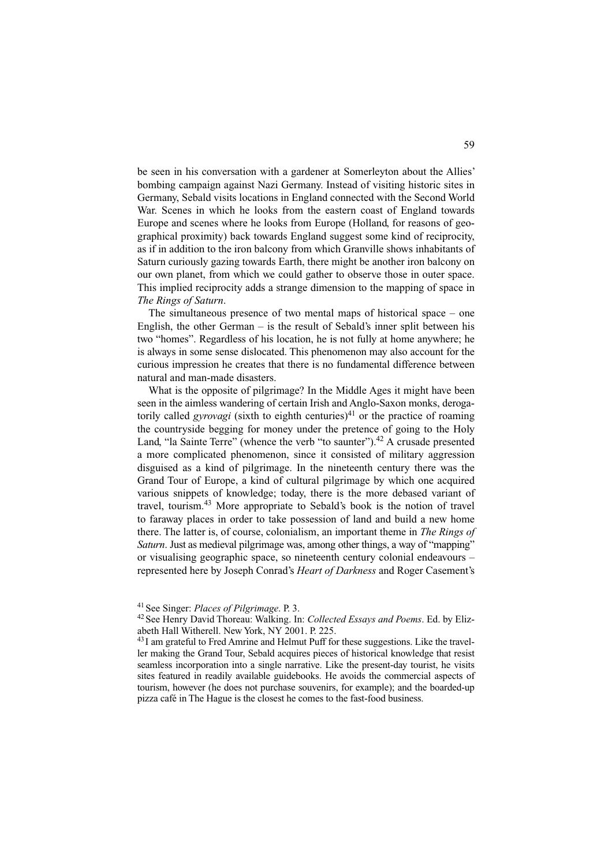be seen in his conversation with a gardener at Somerleyton about the Allies' bombing campaign against Nazi Germany. Instead of visiting historic sites in Germany, Sebald visits locations in England connected with the Second World War. Scenes in which he looks from the eastern coast of England towards Europe and scenes where he looks from Europe (Holland, for reasons of geographical proximity) back towards England suggest some kind of reciprocity, as if in addition to the iron balcony from which Granville shows inhabitants of Saturn curiously gazing towards Earth, there might be another iron balcony on our own planet, from which we could gather to observe those in outer space. This implied reciprocity adds a strange dimension to the mapping of space in *The Rings of Saturn*.

The simultaneous presence of two mental maps of historical space – one English, the other German – is the result of Sebald's inner split between his two "homes". Regardless of his location, he is not fully at home anywhere; he is always in some sense dislocated. This phenomenon may also account for the curious impression he creates that there is no fundamental difference between natural and man-made disasters.

What is the opposite of pilgrimage? In the Middle Ages it might have been seen in the aimless wandering of certain Irish and Anglo-Saxon monks, derogatorily called *gyrovagi* (sixth to eighth centuries)<sup>41</sup> or the practice of roaming the countryside begging for money under the pretence of going to the Holy Land, "la Sainte Terre" (whence the verb "to saunter"). $^{42}$  A crusade presented a more complicated phenomenon, since it consisted of military aggression disguised as a kind of pilgrimage. In the nineteenth century there was the Grand Tour of Europe, a kind of cultural pilgrimage by which one acquired various snippets of knowledge; today, there is the more debased variant of travel, tourism.43 More appropriate to Sebald's book is the notion of travel to faraway places in order to take possession of land and build a new home there. The latter is, of course, colonialism, an important theme in *The Rings of Saturn*. Just as medieval pilgrimage was, among other things, a way of "mapping" or visualising geographic space, so nineteenth century colonial endeavours – represented here by Joseph Conrad's *Heart of Darkness* and Roger Casement's

<sup>41</sup> See Singer: *Places of Pilgrimage*. P. 3.

<sup>42</sup> See Henry David Thoreau: Walking. In: *Collected Essays and Poems*. Ed. by Elizabeth Hall Witherell. New York, NY 2001. P. 225.

 $43$  I am grateful to Fred Amrine and Helmut Puff for these suggestions. Like the traveller making the Grand Tour, Sebald acquires pieces of historical knowledge that resist seamless incorporation into a single narrative. Like the present-day tourist, he visits sites featured in readily available guidebooks. He avoids the commercial aspects of tourism, however (he does not purchase souvenirs, for example); and the boarded-up pizza café in The Hague is the closest he comes to the fast-food business.